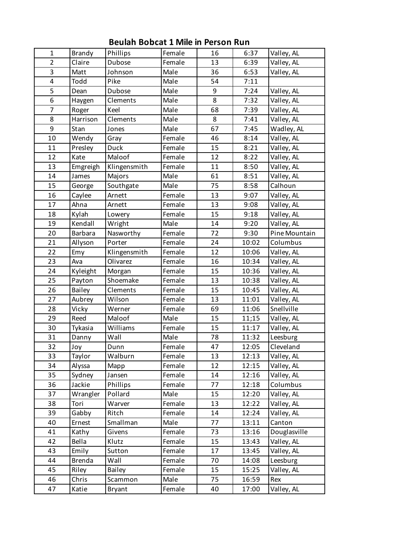| $\mathbf{1}$   | <b>Brandy</b>  | Phillips      | Female | 16 | 6:37  | Valley, AL    |
|----------------|----------------|---------------|--------|----|-------|---------------|
| $\overline{2}$ | Claire         | <b>Dubose</b> | Female | 13 | 6:39  | Valley, AL    |
| 3              | Matt           | Johnson       | Male   | 36 | 6:53  | Valley, AL    |
| 4              | Todd           | Pike          | Male   | 54 | 7:11  |               |
| 5              | Dean           | Dubose        | Male   | 9  | 7:24  | Valley, AL    |
| 6              | Haygen         | Clements      | Male   | 8  | 7:32  | Valley, AL    |
| $\overline{7}$ | Roger          | Keel          | Male   | 68 | 7:39  | Valley, AL    |
| 8              | Harrison       | Clements      | Male   | 8  | 7:41  | Valley, AL    |
| 9              | Stan           | Jones         | Male   | 67 | 7:45  | Wadley, AL    |
| 10             | Wendy          | Gray          | Female | 46 | 8:14  | Valley, AL    |
| 11             | Presley        | Duck          | Female | 15 | 8:21  | Valley, AL    |
| 12             | Kate           | Maloof        | Female | 12 | 8:22  | Valley, AL    |
| 13             | Emgreigh       | Klingensmith  | Female | 11 | 8:50  | Valley, AL    |
| 14             | James          | Majors        | Male   | 61 | 8:51  | Valley, AL    |
| 15             | George         | Southgate     | Male   | 75 | 8:58  | Calhoun       |
| 16             | Caylee         | Arnett        | Female | 13 | 9:07  | Valley, AL    |
| 17             | Ahna           | Arnett        | Female | 13 | 9:08  | Valley, AL    |
| 18             | Kylah          | Lowery        | Female | 15 | 9:18  | Valley, AL    |
| 19             | Kendall        | Wright        | Male   | 14 | 9:20  | Valley, AL    |
| 20             | <b>Barbara</b> | Nasworthy     | Female | 72 | 9:30  | Pine Mountain |
| 21             | Allyson        | Porter        | Female | 24 | 10:02 | Columbus      |
| 22             | Emy            | Klingensmith  | Female | 12 | 10:06 | Valley, AL    |
| 23             | Ava            | Olivarez      | Female | 16 | 10:34 | Valley, AL    |
| 24             | Kyleight       | Morgan        | Female | 15 | 10:36 | Valley, AL    |
| 25             | Payton         | Shoemake      | Female | 13 | 10:38 | Valley, AL    |
| 26             | <b>Bailey</b>  | Clements      | Female | 15 | 10:45 | Valley, AL    |
| 27             | Aubrey         | Wilson        | Female | 13 | 11:01 | Valley, AL    |
| 28             | Vicky          | Werner        | Female | 69 | 11:06 | Snellville    |
| 29             | Reed           | Maloof        | Male   | 15 | 11;15 | Valley, AL    |
| 30             | Tykasia        | Williams      | Female | 15 | 11:17 | Valley, AL    |
| 31             | Danny          | Wall          | Male   | 78 | 11:32 | Leesburg      |
| 32             | Joy            | Dunn          | Female | 47 | 12:05 | Cleveland     |
| 33             | Taylor         | Walburn       | Female | 13 | 12:13 | Valley, AL    |
| 34             | Alyssa         | Mapp          | Female | 12 | 12:15 | Valley, AL    |
| 35             | Sydney         | Jansen        | Female | 14 | 12:16 | Valley, AL    |
| 36             | Jackie         | Phillips      | Female | 77 | 12:18 | Columbus      |
| 37             | Wrangler       | Pollard       | Male   | 15 | 12:20 | Valley, AL    |
| 38             | Tori           | Warver        | Female | 13 | 12:22 | Valley, AL    |
| 39             | Gabby          | Ritch         | Female | 14 | 12:24 | Valley, AL    |
| 40             | Ernest         | Smallman      | Male   | 77 | 13:11 | Canton        |
| 41             | Kathy          | Givens        | Female | 73 | 13:16 | Douglasville  |
| 42             | Bella          | Klutz         | Female | 15 | 13:43 | Valley, AL    |
| 43             | Emily          | Sutton        | Female | 17 | 13:45 | Valley, AL    |
| 44             | <b>Brenda</b>  | Wall          | Female | 70 | 14:08 | Leesburg      |
| 45             | Riley          | <b>Bailey</b> | Female | 15 | 15:25 | Valley, AL    |
| 46             | Chris          | Scammon       | Male   | 75 | 16:59 | Rex           |
| 47             | Katie          | <b>Bryant</b> | Female | 40 | 17:00 | Valley, AL    |

**Beulah Bobcat 1 Mile in Person Run**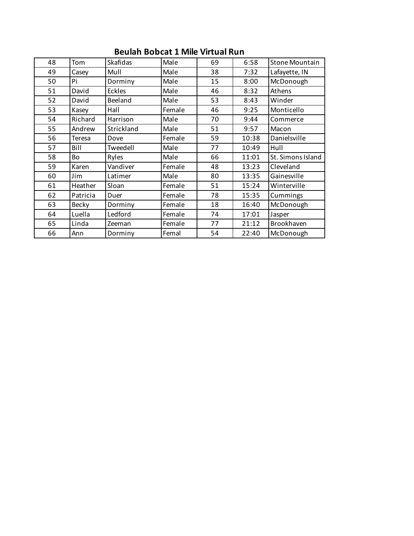## **Beulah Bobcat 1 Mile Virtual Run**

| 48 | Tom          | Skafidas   | Male   | 69 | 6:58  | <b>Stone Mountain</b> |
|----|--------------|------------|--------|----|-------|-----------------------|
| 49 | Casey        | Mull       | Male   | 38 | 7:32  | Lafayette, IN         |
| 50 | Pi           | Dorminy    | Male   | 15 | 8:00  | McDonough             |
| 51 | David        | Eckles     | Male   | 46 | 8:32  | Athens                |
| 52 | David        | Beeland    | Male   | 53 | 8:43  | Winder                |
| 53 | Kasey        | Hall       | Female | 46 | 9:25  | Monticello            |
| 54 | Richard      | Harrison   | Male   | 70 | 9:44  | Commerce              |
| 55 | Andrew       | Strickland | Male   | 51 | 9:57  | Macon                 |
| 56 | Teresa       | Dove       | Female | 59 | 10:38 | Danielsville          |
| 57 | Bill         | Tweedell   | Male   | 77 | 10:49 | Hull                  |
| 58 | Bo           | Ryles      | Male   | 66 | 11:01 | St. Simons Island     |
| 59 | Karen        | Vandiver   | Female | 48 | 13:23 | Cleveland             |
| 60 | Jim          | Latimer    | Male   | 80 | 13:35 | Gainesville           |
| 61 | Heather      | Sloan      | Female | 51 | 15:24 | Winterville           |
| 62 | Patricia     | Duer       | Female | 78 | 15:35 | Cummings              |
| 63 | <b>Becky</b> | Dorminy    | Female | 18 | 16:40 | McDonough             |
| 64 | Luella       | Ledford    | Female | 74 | 17:01 | Jasper                |
| 65 | Linda        | Zeeman     | Female | 77 | 21:12 | Brookhaven            |
| 66 | Ann          | Dorminy    | Femal  | 54 | 22:40 | McDonough             |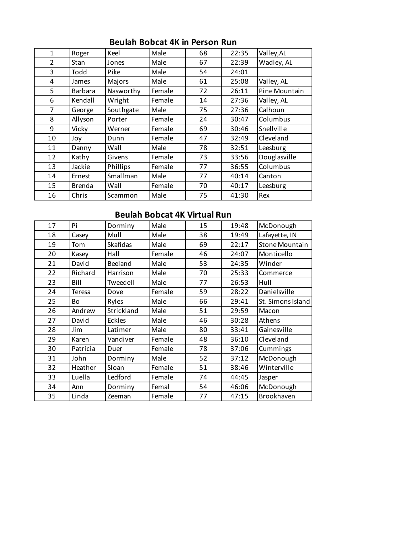| $\mathbf{1}$   | Roger          | Keel      | Male   | 68 | 22:35 | Valley, AL    |
|----------------|----------------|-----------|--------|----|-------|---------------|
| $\overline{2}$ | Stan           | Jones     | Male   | 67 | 22:39 | Wadley, AL    |
| 3              | Todd           | Pike      | Male   | 54 | 24:01 |               |
| 4              | James          | Majors    | Male   | 61 | 25:08 | Valley, AL    |
| 5              | <b>Barbara</b> | Nasworthy | Female | 72 | 26:11 | Pine Mountain |
| 6              | Kendall        | Wright    | Female | 14 | 27:36 | Valley, AL    |
| $\overline{7}$ | George         | Southgate | Male   | 75 | 27:36 | Calhoun       |
| 8              | Allyson        | Porter    | Female | 24 | 30:47 | Columbus      |
| 9              | Vicky          | Werner    | Female | 69 | 30:46 | Snellville    |
| 10             | Joy            | Dunn      | Female | 47 | 32:49 | Cleveland     |
| 11             | Danny          | Wall      | Male   | 78 | 32:51 | Leesburg      |
| 12             | Kathy          | Givens    | Female | 73 | 33:56 | Douglasville  |
| 13             | Jackie         | Phillips  | Female | 77 | 36:55 | Columbus      |
| 14             | Ernest         | Smallman  | Male   | 77 | 40:14 | Canton        |
| 15             | <b>Brenda</b>  | Wall      | Female | 70 | 40:17 | Leesburg      |
| 16             | Chris          | Scammon   | Male   | 75 | 41:30 | Rex           |

### **Beulah Bobcat 4K in Person Run**

## **Beulah Bobcat 4K Virtual Run**

| 17 | Pi       | Dorminy         | Male   | 15 | 19:48 | McDonough             |
|----|----------|-----------------|--------|----|-------|-----------------------|
| 18 | Casey    | Mull            | Male   | 38 | 19:49 | Lafayette, IN         |
| 19 | Tom      | <b>Skafidas</b> | Male   | 69 | 22:17 | <b>Stone Mountain</b> |
| 20 | Kasey    | Hall            | Female | 46 | 24:07 | Monticello            |
| 21 | David    | Beeland         | Male   | 53 | 24:35 | Winder                |
| 22 | Richard  | Harrison        | Male   | 70 | 25:33 | Commerce              |
| 23 | Bill     | Tweedell        | Male   | 77 | 26:53 | Hull                  |
| 24 | Teresa   | Dove            | Female | 59 | 28:22 | Danielsville          |
| 25 | Bo       | Ryles           | Male   | 66 | 29:41 | St. Simons Island     |
| 26 | Andrew   | Strickland      | Male   | 51 | 29:59 | Macon                 |
| 27 | David    | <b>Eckles</b>   | Male   | 46 | 30:28 | Athens                |
| 28 | Jim      | Latimer         | Male   | 80 | 33:41 | Gainesville           |
| 29 | Karen    | Vandiver        | Female | 48 | 36:10 | Cleveland             |
| 30 | Patricia | Duer            | Female | 78 | 37:06 | Cummings              |
| 31 | John     | Dorminy         | Male   | 52 | 37:12 | McDonough             |
| 32 | Heather  | Sloan           | Female | 51 | 38:46 | Winterville           |
| 33 | Luella   | Ledford         | Female | 74 | 44:45 | Jasper                |
| 34 | Ann      | Dorminy         | Femal  | 54 | 46:06 | McDonough             |
| 35 | Linda    | Zeeman          | Female | 77 | 47:15 | Brookhaven            |
|    |          |                 |        |    |       |                       |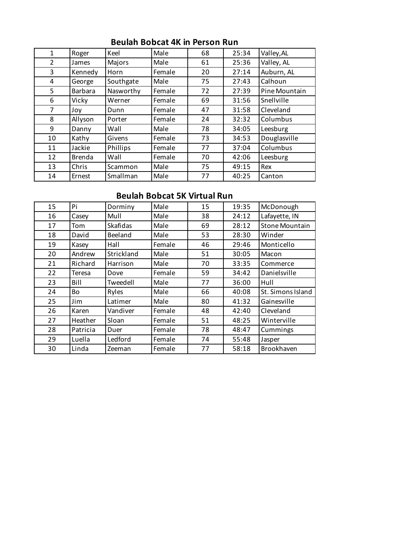| $\mathbf{1}$   | Roger         | Keel      | Male   | 68 | 25:34 | Valley, AL    |
|----------------|---------------|-----------|--------|----|-------|---------------|
| $\mathcal{P}$  | James         | Majors    | Male   | 61 | 25:36 | Valley, AL    |
| 3              | Kennedy       | Horn      | Female | 20 | 27:14 | Auburn, AL    |
| 4              | George        | Southgate | Male   | 75 | 27:43 | Calhoun       |
| 5              | Barbara       | Nasworthy | Female | 72 | 27:39 | Pine Mountain |
| 6              | Vicky         | Werner    | Female | 69 | 31:56 | Snellville    |
| $\overline{7}$ | Joy           | Dunn      | Female | 47 | 31:58 | Cleveland     |
| 8              | Allyson       | Porter    | Female | 24 | 32:32 | Columbus      |
| 9              | Danny         | Wall      | Male   | 78 | 34:05 | Leesburg      |
| 10             | Kathy         | Givens    | Female | 73 | 34:53 | Douglasville  |
| 11             | Jackie        | Phillips  | Female | 77 | 37:04 | Columbus      |
| 12             | <b>Brenda</b> | Wall      | Female | 70 | 42:06 | Leesburg      |
| 13             | Chris         | Scammon   | Male   | 75 | 49:15 | Rex           |
| 14             | Ernest        | Smallman  | Male   | 77 | 40:25 | Canton        |

### **Beulah Bobcat 4K in Person Run**

# **Beulah Bobcat 5K Virtual Run**

| 15 | Pi       | Dorminy         | Male   | 15 | 19:35 | McDonough         |
|----|----------|-----------------|--------|----|-------|-------------------|
| 16 | Casey    | Mull            | Male   | 38 | 24:12 | Lafayette, IN     |
| 17 | Tom      | <b>Skafidas</b> | Male   | 69 | 28:12 | Stone Mountain    |
| 18 | David    | Beeland         | Male   | 53 | 28:30 | Winder            |
| 19 | Kasey    | Hall            | Female | 46 | 29:46 | Monticello        |
| 20 | Andrew   | Strickland      | Male   | 51 | 30:05 | Macon             |
| 21 | Richard  | Harrison        | Male   | 70 | 33:35 | Commerce          |
| 22 | Teresa   | Dove            | Female | 59 | 34:42 | Danielsville      |
| 23 | Bill     | Tweedell        | Male   | 77 | 36:00 | Hull              |
| 24 | Bo       | Ryles           | Male   | 66 | 40:08 | St. Simons Island |
| 25 | Jim      | Latimer         | Male   | 80 | 41:32 | Gainesville       |
| 26 | Karen    | Vandiver        | Female | 48 | 42:40 | Cleveland         |
| 27 | Heather  | Sloan           | Female | 51 | 48:25 | Winterville       |
| 28 | Patricia | Duer            | Female | 78 | 48:47 | Cummings          |
| 29 | Luella   | Ledford         | Female | 74 | 55:48 | Jasper            |
| 30 | Linda    | Zeeman          | Female | 77 | 58:18 | Brookhaven        |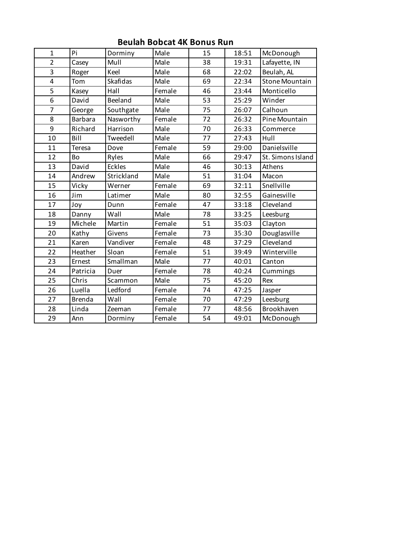| $\mathbf{1}$            | Pi             | Dorminy         | Male   | 15 | 18:51 | McDonough             |
|-------------------------|----------------|-----------------|--------|----|-------|-----------------------|
| $\overline{2}$          | Casey          | Mull            | Male   | 38 | 19:31 | Lafayette, IN         |
| 3                       | Roger          | Keel            | Male   | 68 | 22:02 | Beulah, AL            |
| $\overline{\mathbf{4}}$ | Tom            | <b>Skafidas</b> | Male   | 69 | 22:34 | <b>Stone Mountain</b> |
| 5                       | Kasey          | Hall            | Female | 46 | 23:44 | Monticello            |
| $\overline{6}$          | David          | Beeland         | Male   | 53 | 25:29 | Winder                |
| $\overline{7}$          | George         | Southgate       | Male   | 75 | 26:07 | Calhoun               |
| 8                       | <b>Barbara</b> | Nasworthy       | Female | 72 | 26:32 | Pine Mountain         |
| 9                       | Richard        | Harrison        | Male   | 70 | 26:33 | Commerce              |
| 10                      | Bill           | Tweedell        | Male   | 77 | 27:43 | Hull                  |
| 11                      | <b>Teresa</b>  | Dove            | Female | 59 | 29:00 | Danielsville          |
| 12                      | Bo             | Ryles           | Male   | 66 | 29:47 | St. Simons Island     |
| 13                      | David          | Eckles          | Male   | 46 | 30:13 | Athens                |
| 14                      | Andrew         | Strickland      | Male   | 51 | 31:04 | Macon                 |
| 15                      | Vicky          | Werner          | Female | 69 | 32:11 | Snellville            |
| 16                      | Jim            | Latimer         | Male   | 80 | 32:55 | Gainesville           |
| 17                      | Joy            | Dunn            | Female | 47 | 33:18 | Cleveland             |
| 18                      | Danny          | Wall            | Male   | 78 | 33:25 | Leesburg              |
| 19                      | Michele        | Martin          | Female | 51 | 35:03 | Clayton               |
| 20                      | Kathy          | Givens          | Female | 73 | 35:30 | Douglasville          |
| 21                      | Karen          | Vandiver        | Female | 48 | 37:29 | Cleveland             |
| 22                      | Heather        | Sloan           | Female | 51 | 39:49 | Winterville           |
| 23                      | Ernest         | Smallman        | Male   | 77 | 40:01 | Canton                |
| 24                      | Patricia       | Duer            | Female | 78 | 40:24 | Cummings              |
| 25                      | Chris          | Scammon         | Male   | 75 | 45:20 | Rex                   |
| 26                      | Luella         | Ledford         | Female | 74 | 47:25 | Jasper                |
| 27                      | <b>Brenda</b>  | Wall            | Female | 70 | 47:29 | Leesburg              |
| 28                      | Linda          | Zeeman          | Female | 77 | 48:56 | Brookhaven            |
| 29                      | Ann            | Dorminy         | Female | 54 | 49:01 | McDonough             |

**Beulah Bobcat 4K Bonus Run**